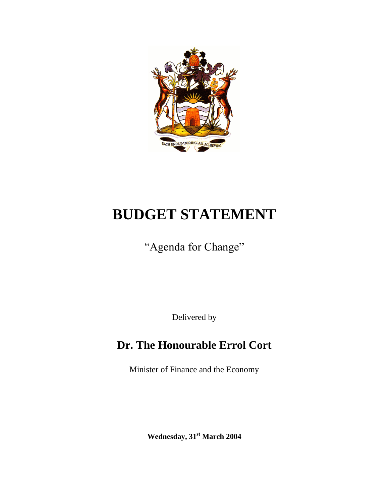

# **BUDGET STATEMENT**

"Agenda for Change"

Delivered by

## **Dr. The Honourable Errol Cort**

Minister of Finance and the Economy

**Wednesday, 31st March 2004**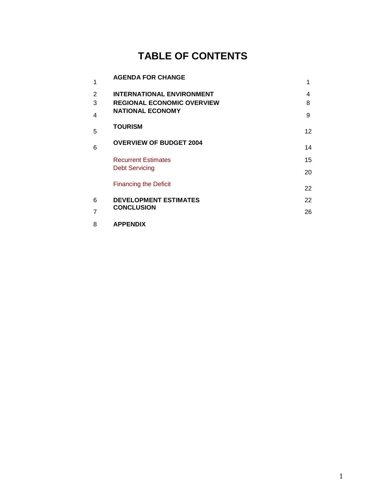## **TABLE OF CONTENTS**

| 1           | <b>AGENDA FOR CHANGE</b>                                                                         |             |
|-------------|--------------------------------------------------------------------------------------------------|-------------|
| 2<br>3<br>4 | <b>INTERNATIONAL ENVIRONMENT</b><br><b>REGIONAL ECONOMIC OVERVIEW</b><br><b>NATIONAL ECONOMY</b> | 4<br>8<br>9 |
| 5           | <b>TOURISM</b>                                                                                   | 12          |
| 6           | <b>OVERVIEW OF BUDGET 2004</b>                                                                   | 14          |
|             | <b>Recurrent Estimates</b><br><b>Debt Servicing</b>                                              | 15<br>20    |
|             | <b>Financing the Deficit</b>                                                                     | 22          |
| 6           | <b>DEVELOPMENT ESTIMATES</b>                                                                     | 22          |
| 7           | <b>CONCLUSION</b>                                                                                | 26          |
| 8           | <b>APPENDIX</b>                                                                                  |             |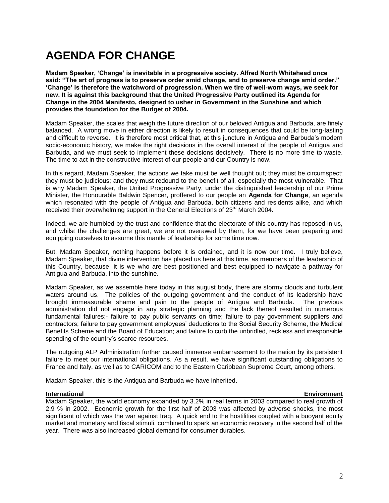## **AGENDA FOR CHANGE**

**Madam Speaker, "Change" is inevitable in a progressive society. Alfred North Whitehead once said: "The art of progress is to preserve order amid change, and to preserve change amid order." "Change" is therefore the watchword of progression. When we tire of well-worn ways, we seek for new. It is against this background that the United Progressive Party outlined its Agenda for Change in the 2004 Manifesto, designed to usher in Government in the Sunshine and which provides the foundation for the Budget of 2004.** 

Madam Speaker, the scales that weigh the future direction of our beloved Antigua and Barbuda, are finely balanced. A wrong move in either direction is likely to result in consequences that could be long-lasting and difficult to reverse. It is therefore most critical that, at this juncture in Antigua and Barbuda's modern socio-economic history, we make the right decisions in the overall interest of the people of Antigua and Barbuda, and we must seek to implement these decisions decisively. There is no more time to waste. The time to act in the constructive interest of our people and our Country is now.

In this regard, Madam Speaker, the actions we take must be well thought out; they must be circumspect; they must be judicious; and they must redound to the benefit of all, especially the most vulnerable. That is why Madam Speaker, the United Progressive Party, under the distinguished leadership of our Prime Minister, the Honourable Baldwin Spencer, proffered to our people an **Agenda for Change**, an agenda which resonated with the people of Antigua and Barbuda, both citizens and residents alike, and which received their overwhelming support in the General Elections of 23<sup>rd</sup> March 2004.

Indeed, we are humbled by the trust and confidence that the electorate of this country has reposed in us, and whilst the challenges are great, we are not overawed by them, for we have been preparing and equipping ourselves to assume this mantle of leadership for some time now.

But, Madam Speaker, nothing happens before it is ordained, and it is now our time. I truly believe, Madam Speaker, that divine intervention has placed us here at this time, as members of the leadership of this Country, because, it is we who are best positioned and best equipped to navigate a pathway for Antigua and Barbuda, into the sunshine.

Madam Speaker, as we assemble here today in this august body, there are stormy clouds and turbulent waters around us. The policies of the outgoing government and the conduct of its leadership have brought immeasurable shame and pain to the people of Antigua and Barbuda. The previous administration did not engage in any strategic planning and the lack thereof resulted in numerous fundamental failures:- failure to pay public servants on time; failure to pay government suppliers and contractors; failure to pay government employees' deductions to the Social Security Scheme, the Medical Benefits Scheme and the Board of Education; and failure to curb the unbridled, reckless and irresponsible spending of the country's scarce resources.

The outgoing ALP Administration further caused immense embarrassment to the nation by its persistent failure to meet our international obligations. As a result, we have significant outstanding obligations to France and Italy, as well as to CARICOM and to the Eastern Caribbean Supreme Court, among others.

Madam Speaker, this is the Antigua and Barbuda we have inherited.

#### **International Environment**

Madam Speaker, the world economy expanded by 3.2% in real terms in 2003 compared to real growth of 2.9 % in 2002. Economic growth for the first half of 2003 was affected by adverse shocks, the most significant of which was the war against Iraq. A quick end to the hostilities coupled with a buoyant equity market and monetary and fiscal stimuli, combined to spark an economic recovery in the second half of the year. There was also increased global demand for consumer durables.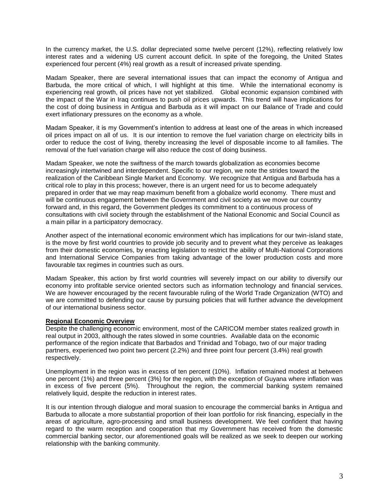In the currency market, the U.S. dollar depreciated some twelve percent (12%), reflecting relatively low interest rates and a widening US current account deficit. In spite of the foregoing, the United States experienced four percent (4%) real growth as a result of increased private spending.

Madam Speaker, there are several international issues that can impact the economy of Antigua and Barbuda, the more critical of which, I will highlight at this time. While the international economy is experiencing real growth, oil prices have not yet stabilized. Global economic expansion combined with the impact of the War in Iraq continues to push oil prices upwards. This trend will have implications for the cost of doing business in Antigua and Barbuda as it will impact on our Balance of Trade and could exert inflationary pressures on the economy as a whole.

Madam Speaker, it is my Government's intention to address at least one of the areas in which increased oil prices impact on all of us. It is our intention to remove the fuel variation charge on electricity bills in order to reduce the cost of living, thereby increasing the level of disposable income to all families. The removal of the fuel variation charge will also reduce the cost of doing business.

Madam Speaker, we note the swiftness of the march towards globalization as economies become increasingly intertwined and interdependent. Specific to our region, we note the strides toward the realization of the Caribbean Single Market and Economy. We recognize that Antigua and Barbuda has a critical role to play in this process; however, there is an urgent need for us to become adequately prepared in order that we may reap maximum benefit from a globalize world economy. There must and will be continuous engagement between the Government and civil society as we move our country forward and, in this regard, the Government pledges its commitment to a continuous process of consultations with civil society through the establishment of the National Economic and Social Council as a main pillar in a participatory democracy.

Another aspect of the international economic environment which has implications for our twin-island state, is the move by first world countries to provide job security and to prevent what they perceive as leakages from their domestic economies, by enacting legislation to restrict the ability of Multi-National Corporations and International Service Companies from taking advantage of the lower production costs and more favourable tax regimes in countries such as ours.

Madam Speaker, this action by first world countries will severely impact on our ability to diversify our economy into profitable service oriented sectors such as information technology and financial services. We are however encouraged by the recent favourable ruling of the World Trade Organization (WTO) and we are committed to defending our cause by pursuing policies that will further advance the development of our international business sector.

#### **Regional Economic Overview**

Despite the challenging economic environment, most of the CARICOM member states realized growth in real output in 2003, although the rates slowed in some countries. Available data on the economic performance of the region indicate that Barbados and Trinidad and Tobago, two of our major trading partners, experienced two point two percent (2.2%) and three point four percent (3.4%) real growth respectively.

Unemployment in the region was in excess of ten percent (10%). Inflation remained modest at between one percent (1%) and three percent (3%) for the region, with the exception of Guyana where inflation was in excess of five percent (5%). Throughout the region, the commercial banking system remained relatively liquid, despite the reduction in interest rates.

It is our intention through dialogue and moral suasion to encourage the commercial banks in Antigua and Barbuda to allocate a more substantial proportion of their loan portfolio for risk financing, especially in the areas of agriculture, agro-processing and small business development. We feel confident that having regard to the warm reception and cooperation that my Government has received from the domestic commercial banking sector, our aforementioned goals will be realized as we seek to deepen our working relationship with the banking community.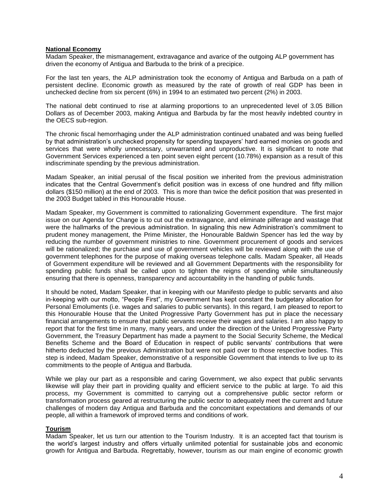#### **National Economy**

Madam Speaker, the mismanagement, extravagance and avarice of the outgoing ALP government has driven the economy of Antigua and Barbuda to the brink of a precipice.

For the last ten years, the ALP administration took the economy of Antigua and Barbuda on a path of persistent decline. Economic growth as measured by the rate of growth of real GDP has been in unchecked decline from six percent (6%) in 1994 to an estimated two percent (2%) in 2003.

The national debt continued to rise at alarming proportions to an unprecedented level of 3.05 Billion Dollars as of December 2003, making Antigua and Barbuda by far the most heavily indebted country in the OECS sub-region.

The chronic fiscal hemorrhaging under the ALP administration continued unabated and was being fuelled by that administration's unchecked propensity for spending taxpayers' hard earned monies on goods and services that were wholly unnecessary, unwarranted and unproductive. It is significant to note that Government Services experienced a ten point seven eight percent (10.78%) expansion as a result of this indiscriminate spending by the previous administration.

Madam Speaker, an initial perusal of the fiscal position we inherited from the previous administration indicates that the Central Government's deficit position was in excess of one hundred and fifty million dollars (\$150 million) at the end of 2003. This is more than twice the deficit position that was presented in the 2003 Budget tabled in this Honourable House.

Madam Speaker, my Government is committed to rationalizing Government expenditure. The first major issue on our Agenda for Change is to cut out the extravagance, and eliminate pilferage and wastage that were the hallmarks of the previous administration. In signaling this new Administration's commitment to prudent money management, the Prime Minister, the Honourable Baldwin Spencer has led the way by reducing the number of government ministries to nine. Government procurement of goods and services will be rationalized; the purchase and use of government vehicles will be reviewed along with the use of government telephones for the purpose of making overseas telephone calls. Madam Speaker, all Heads of Government expenditure will be reviewed and all Government Departments with the responsibility for spending public funds shall be called upon to tighten the reigns of spending while simultaneously ensuring that there is openness, transparency and accountability in the handling of public funds.

It should be noted, Madam Speaker, that in keeping with our Manifesto pledge to public servants and also in-keeping with our motto, "People First", my Government has kept constant the budgetary allocation for Personal Emoluments (i.e. wages and salaries to public servants). In this regard, I am pleased to report to this Honourable House that the United Progressive Party Government has put in place the necessary financial arrangements to ensure that public servants receive their wages and salaries. I am also happy to report that for the first time in many, many years, and under the direction of the United Progressive Party Government, the Treasury Department has made a payment to the Social Security Scheme, the Medical Benefits Scheme and the Board of Education in respect of public servants' contributions that were hitherto deducted by the previous Administration but were not paid over to those respective bodies. This step is indeed, Madam Speaker, demonstrative of a responsible Government that intends to live up to its commitments to the people of Antigua and Barbuda.

While we play our part as a responsible and caring Government, we also expect that public servants likewise will play their part in providing quality and efficient service to the public at large. To aid this process, my Government is committed to carrying out a comprehensive public sector reform or transformation process geared at restructuring the public sector to adequately meet the current and future challenges of modern day Antigua and Barbuda and the concomitant expectations and demands of our people, all within a framework of improved terms and conditions of work.

#### **Tourism**

Madam Speaker, let us turn our attention to the Tourism Industry. It is an accepted fact that tourism is the world's largest industry and offers virtually unlimited potential for sustainable jobs and economic growth for Antigua and Barbuda. Regrettably, however, tourism as our main engine of economic growth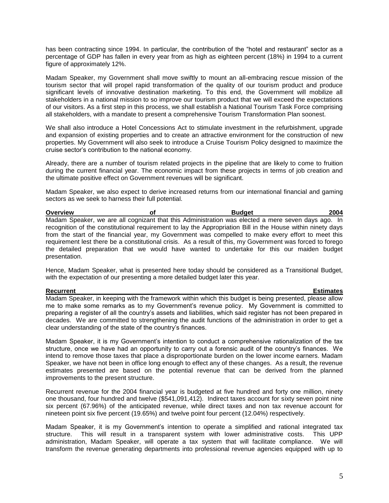has been contracting since 1994. In particular, the contribution of the "hotel and restaurant" sector as a percentage of GDP has fallen in every year from as high as eighteen percent (18%) in 1994 to a current figure of approximately 12%.

Madam Speaker, my Government shall move swiftly to mount an all-embracing rescue mission of the tourism sector that will propel rapid transformation of the quality of our tourism product and produce significant levels of innovative destination marketing. To this end, the Government will mobilize all stakeholders in a national mission to so improve our tourism product that we will exceed the expectations of our visitors. As a first step in this process, we shall establish a National Tourism Task Force comprising all stakeholders, with a mandate to present a comprehensive Tourism Transformation Plan soonest.

We shall also introduce a Hotel Concessions Act to stimulate investment in the refurbishment, upgrade and expansion of existing properties and to create an attractive environment for the construction of new properties. My Government will also seek to introduce a Cruise Tourism Policy designed to maximize the cruise sector's contribution to the national economy.

Already, there are a number of tourism related projects in the pipeline that are likely to come to fruition during the current financial year. The economic impact from these projects in terms of job creation and the ultimate positive effect on Government revenues will be significant.

Madam Speaker, we also expect to derive increased returns from our international financial and gaming sectors as we seek to harness their full potential.

| <b>Overview</b> | οf | <b>Budget</b>                                                                                               | 2004 |
|-----------------|----|-------------------------------------------------------------------------------------------------------------|------|
|                 |    | Madam Speaker, we are all cognizant that this Administration was elected a mere seven days ago. In          |      |
|                 |    | recognition of the constitutional requirement to lay the Appropriation Bill in the House within ninety days |      |
|                 |    | from the start of the financial year, my Government was compelled to make every effort to meet this         |      |
|                 |    | requirement lest there be a constitutional crisis. As a result of this, my Government was forced to forego  |      |
|                 |    | the detailed preparation that we would have wanted to undertake for this our maiden budget                  |      |
| presentation.   |    |                                                                                                             |      |

Hence, Madam Speaker, what is presented here today should be considered as a Transitional Budget, with the expectation of our presenting a more detailed budget later this year.

**Recurrent Estimates** Madam Speaker, in keeping with the framework within which this budget is being presented, please allow me to make some remarks as to my Government's revenue policy. My Government is committed to preparing a register of all the country's assets and liabilities, which said register has not been prepared in decades. We are committed to strengthening the audit functions of the administration in order to get a clear understanding of the state of the country's finances.

Madam Speaker, it is my Government's intention to conduct a comprehensive rationalization of the tax structure, once we have had an opportunity to carry out a forensic audit of the country's finances. We intend to remove those taxes that place a disproportionate burden on the lower income earners. Madam Speaker, we have not been in office long enough to effect any of these changes. As a result, the revenue estimates presented are based on the potential revenue that can be derived from the planned improvements to the present structure.

Recurrent revenue for the 2004 financial year is budgeted at five hundred and forty one million, ninety one thousand, four hundred and twelve (\$541,091,412). Indirect taxes account for sixty seven point nine six percent (67.96%) of the anticipated revenue, while direct taxes and non tax revenue account for nineteen point six five percent (19.65%) and twelve point four percent (12.04%) respectively.

Madam Speaker, it is my Government's intention to operate a simplified and rational integrated tax structure. This will result in a transparent system with lower administrative costs. This UPP administration, Madam Speaker, will operate a tax system that will facilitate compliance. We will transform the revenue generating departments into professional revenue agencies equipped with up to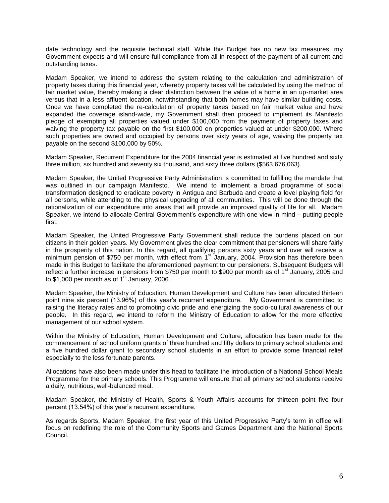date technology and the requisite technical staff. While this Budget has no new tax measures, my Government expects and will ensure full compliance from all in respect of the payment of all current and outstanding taxes.

Madam Speaker, we intend to address the system relating to the calculation and administration of property taxes during this financial year, whereby property taxes will be calculated by using the method of fair market value, thereby making a clear distinction between the value of a home in an up-market area versus that in a less affluent location, notwithstanding that both homes may have similar building costs. Once we have completed the re-calculation of property taxes based on fair market value and have expanded the coverage island-wide, my Government shall then proceed to implement its Manifesto pledge of exempting all properties valued under \$100,000 from the payment of property taxes and waiving the property tax payable on the first \$100,000 on properties valued at under \$200,000. Where such properties are owned and occupied by persons over sixty years of age, waiving the property tax payable on the second \$100,000 by 50%.

Madam Speaker, Recurrent Expenditure for the 2004 financial year is estimated at five hundred and sixty three million, six hundred and seventy six thousand, and sixty three dollars (\$563,676,063).

Madam Speaker, the United Progressive Party Administration is committed to fulfilling the mandate that was outlined in our campaign Manifesto. We intend to implement a broad programme of social transformation designed to eradicate poverty in Antigua and Barbuda and create a level playing field for all persons, while attending to the physical upgrading of all communities. This will be done through the rationalization of our expenditure into areas that will provide an improved quality of life for all. Madam Speaker, we intend to allocate Central Government's expenditure with one view in mind – putting people first.

Madam Speaker, the United Progressive Party Government shall reduce the burdens placed on our citizens in their golden years. My Government gives the clear commitment that pensioners will share fairly in the prosperity of this nation. In this regard, all qualifying persons sixty years and over will receive a minimum pension of \$750 per month, with effect from  $1<sup>st</sup>$  January, 2004. Provision has therefore been made in this Budget to facilitate the aforementioned payment to our pensioners. Subsequent Budgets will reflect a further increase in pensions from \$750 per month to \$900 per month as of 1<sup>st</sup> January, 2005 and to \$1,000 per month as of 1<sup>st</sup> January, 2006.

Madam Speaker, the Ministry of Education, Human Development and Culture has been allocated thirteen point nine six percent (13.96%) of this year's recurrent expenditure. My Government is committed to raising the literacy rates and to promoting civic pride and energizing the socio-cultural awareness of our people. In this regard, we intend to reform the Ministry of Education to allow for the more effective management of our school system.

Within the Ministry of Education, Human Development and Culture, allocation has been made for the commencement of school uniform grants of three hundred and fifty dollars to primary school students and a five hundred dollar grant to secondary school students in an effort to provide some financial relief especially to the less fortunate parents.

Allocations have also been made under this head to facilitate the introduction of a National School Meals Programme for the primary schools. This Programme will ensure that all primary school students receive a daily, nutritious, well-balanced meal.

Madam Speaker, the Ministry of Health, Sports & Youth Affairs accounts for thirteen point five four percent (13.54%) of this year's recurrent expenditure.

As regards Sports, Madam Speaker, the first year of this United Progressive Party's term in office will focus on redefining the role of the Community Sports and Games Department and the National Sports Council.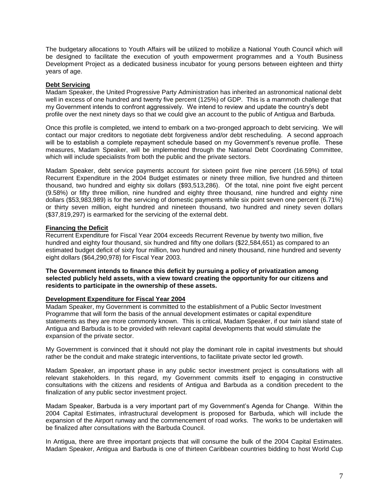The budgetary allocations to Youth Affairs will be utilized to mobilize a National Youth Council which will be designed to facilitate the execution of youth empowerment programmes and a Youth Business Development Project as a dedicated business incubator for young persons between eighteen and thirty years of age.

#### **Debt Servicing**

Madam Speaker, the United Progressive Party Administration has inherited an astronomical national debt well in excess of one hundred and twenty five percent (125%) of GDP. This is a mammoth challenge that my Government intends to confront aggressively. We intend to review and update the country's debt profile over the next ninety days so that we could give an account to the public of Antigua and Barbuda.

Once this profile is completed, we intend to embark on a two-pronged approach to debt servicing. We will contact our major creditors to negotiate debt forgiveness and/or debt rescheduling. A second approach will be to establish a complete repayment schedule based on my Government's revenue profile. These measures, Madam Speaker, will be implemented through the National Debt Coordinating Committee, which will include specialists from both the public and the private sectors.

Madam Speaker, debt service payments account for sixteen point five nine percent (16.59%) of total Recurrent Expenditure in the 2004 Budget estimates or ninety three million, five hundred and thirteen thousand, two hundred and eighty six dollars (\$93,513,286). Of the total, nine point five eight percent (9.58%) or fifty three million, nine hundred and eighty three thousand, nine hundred and eighty nine dollars (\$53,983,989) is for the servicing of domestic payments while six point seven one percent (6.71%) or thirty seven million, eight hundred and nineteen thousand, two hundred and ninety seven dollars (\$37,819,297) is earmarked for the servicing of the external debt.

#### **Financing the Deficit**

Recurrent Expenditure for Fiscal Year 2004 exceeds Recurrent Revenue by twenty two million, five hundred and eighty four thousand, six hundred and fifty one dollars (\$22,584,651) as compared to an estimated budget deficit of sixty four million, two hundred and ninety thousand, nine hundred and seventy eight dollars (\$64,290,978) for Fiscal Year 2003.

**The Government intends to finance this deficit by pursuing a policy of privatization among selected publicly held assets, with a view toward creating the opportunity for our citizens and residents to participate in the ownership of these assets.** 

#### **Development Expenditure for Fiscal Year 2004**

Madam Speaker, my Government is committed to the establishment of a Public Sector Investment Programme that will form the basis of the annual development estimates or capital expenditure statements as they are more commonly known. This is critical, Madam Speaker, if our twin island state of Antigua and Barbuda is to be provided with relevant capital developments that would stimulate the expansion of the private sector.

My Government is convinced that it should not play the dominant role in capital investments but should rather be the conduit and make strategic interventions, to facilitate private sector led growth.

Madam Speaker, an important phase in any public sector investment project is consultations with all relevant stakeholders. In this regard, my Government commits itself to engaging in constructive consultations with the citizens and residents of Antigua and Barbuda as a condition precedent to the finalization of any public sector investment project.

Madam Speaker, Barbuda is a very important part of my Government's Agenda for Change. Within the 2004 Capital Estimates, infrastructural development is proposed for Barbuda, which will include the expansion of the Airport runway and the commencement of road works. The works to be undertaken will be finalized after consultations with the Barbuda Council.

In Antigua, there are three important projects that will consume the bulk of the 2004 Capital Estimates. Madam Speaker, Antigua and Barbuda is one of thirteen Caribbean countries bidding to host World Cup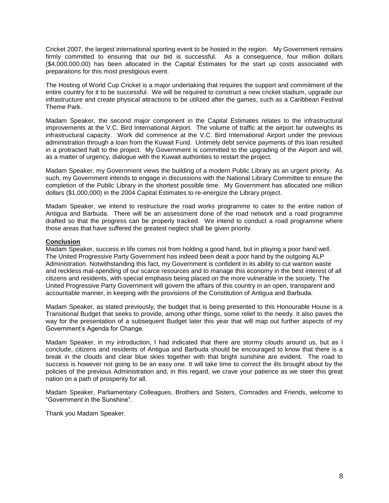Cricket 2007, the largest international sporting event to be hosted in the region. My Government remains firmly committed to ensuring that our bid is successful. As a consequence, four million dollars (\$4,000,000.00) has been allocated in the Capital Estimates for the start up costs associated with preparations for this most prestigious event.

The Hosting of World Cup Cricket is a major undertaking that requires the support and commitment of the entire country for it to be successful. We will be required to construct a new cricket stadium, upgrade our infrastructure and create physical attractions to be utilized after the games, such as a Caribbean Festival Theme Park.

Madam Speaker, the second major component in the Capital Estimates relates to the infrastructural improvements at the V.C. Bird International Airport. The volume of traffic at the airport far outweighs its infrastructural capacity. Work did commence at the V.C. Bird International Airport under the previous administration through a loan from the Kuwait Fund. Untimely debt service payments of this loan resulted in a protracted halt to the project. My Government is committed to the upgrading of the Airport and will, as a matter of urgency, dialogue with the Kuwait authorities to restart the project.

Madam Speaker, my Government views the building of a modern Public Library as an urgent priority. As such, my Government intends to engage in discussions with the National Library Committee to ensure the completion of the Public Library in the shortest possible time. My Government has allocated one million dollars (\$1,000,000) in the 2004 Capital Estimates to re-energize the Library project.

Madam Speaker, we intend to restructure the road works programme to cater to the entire nation of Antigua and Barbuda. There will be an assessment done of the road network and a road programme drafted so that the progress can be properly tracked. We intend to conduct a road programme where those areas that have suffered the greatest neglect shall be given priority.

#### **Conclusion**

Madam Speaker, success in life comes not from holding a good hand, but in playing a poor hand well. The United Progressive Party Government has indeed been dealt a poor hand by the outgoing ALP Administration. Notwithstanding this fact, my Government is confident in its ability to cut wanton waste and reckless mal-spending of our scarce resources and to manage this economy in the best interest of all citizens and residents, with special emphasis being placed on the more vulnerable in the society. The United Progressive Party Government will govern the affairs of this country in an open, transparent and accountable manner, in keeping with the provisions of the Constitution of Antigua and Barbuda.

Madam Speaker, as stated previously, the budget that is being presented to this Honourable House is a Transitional Budget that seeks to provide, among other things, some relief to the needy. It also paves the way for the presentation of a subsequent Budget later this year that will map out further aspects of my Government's Agenda for Change.

Madam Speaker, in my introduction, I had indicated that there are stormy clouds around us, but as I conclude, citizens and residents of Antigua and Barbuda should be encouraged to know that there is a break in the clouds and clear blue skies together with that bright sunshine are evident. The road to success is however not going to be an easy one. It will take time to correct the ills brought about by the policies of the previous Administration and, in this regard, we crave your patience as we steer this great nation on a path of prosperity for all.

Madam Speaker, Parliamentary Colleagues, Brothers and Sisters, Comrades and Friends, welcome to "Government in the Sunshine".

Thank you Madam Speaker.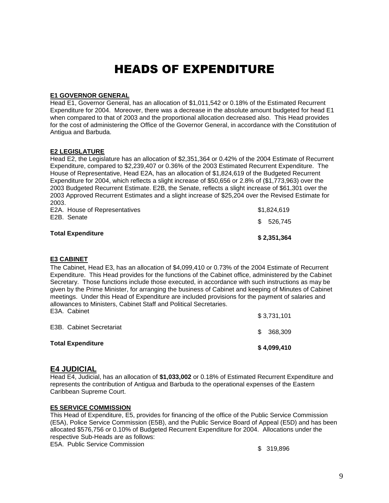## HEADS OF EXPENDITURE

#### **E1 GOVERNOR GENERAL**

Head E1, Governor General, has an allocation of \$1,011,542 or 0.18% of the Estimated Recurrent Expenditure for 2004. Moreover, there was a decrease in the absolute amount budgeted for head E1 when compared to that of 2003 and the proportional allocation decreased also. This Head provides for the cost of administering the Office of the Governor General, in accordance with the Constitution of Antigua and Barbuda.

#### **E2 LEGISLATURE**

Head E2, the Legislature has an allocation of \$2,351,364 or 0.42% of the 2004 Estimate of Recurrent Expenditure, compared to \$2,239,407 or 0.36% of the 2003 Estimated Recurrent Expenditure. The House of Representative, Head E2A, has an allocation of \$1,824,619 of the Budgeted Recurrent Expenditure for 2004, which reflects a slight increase of \$50,656 or 2.8% of (\$1,773,963) over the 2003 Budgeted Recurrent Estimate. E2B, the Senate, reflects a slight increase of \$61,301 over the 2003 Approved Recurrent Estimates and a slight increase of \$25,204 over the Revised Estimate for 2003.

| <b>Total Expenditure</b>      | \$2,351,364 |
|-------------------------------|-------------|
| E2B. Senate                   | \$ 526,745  |
| E2A. House of Representatives | \$1,824,619 |

#### **E3 CABINET**

The Cabinet, Head E3, has an allocation of \$4,099,410 or 0.73% of the 2004 Estimate of Recurrent Expenditure. This Head provides for the functions of the Cabinet office, administered by the Cabinet Secretary. Those functions include those executed, in accordance with such instructions as may be given by the Prime Minister, for arranging the business of Cabinet and keeping of Minutes of Cabinet meetings. Under this Head of Expenditure are included provisions for the payment of salaries and allowances to Ministers, Cabinet Staff and Political Secretaries. E3A. Cabinet \$ 3,731,101

| <b>Total Expenditure</b> | \$4,099,410 |
|--------------------------|-------------|
| E3B. Cabinet Secretariat | \$368,309   |
|                          | \$3.731.101 |

#### **E4 JUDICIAL**

Head E4, Judicial, has an allocation of **\$1,033,002** or 0.18% of Estimated Recurrent Expenditure and represents the contribution of Antigua and Barbuda to the operational expenses of the Eastern Caribbean Supreme Court.

#### **E5 SERVICE COMMISSION**

This Head of Expenditure, E5, provides for financing of the office of the Public Service Commission (E5A), Police Service Commission (E5B), and the Public Service Board of Appeal (E5D) and has been allocated \$576,756 or 0.10% of Budgeted Recurrent Expenditure for 2004. Allocations under the respective Sub-Heads are as follows:

E5A. Public Service Commission **\$ 319,896**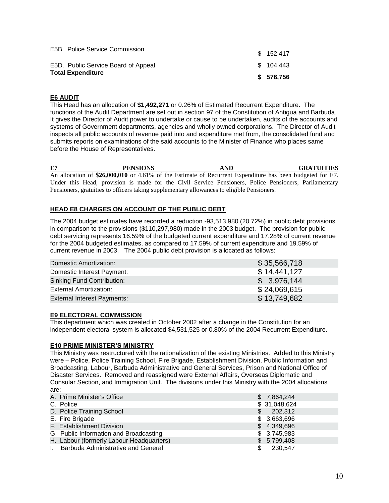|                                                                                                   | \$ 576,756 |
|---------------------------------------------------------------------------------------------------|------------|
|                                                                                                   | \$104.443  |
|                                                                                                   | \$152.417  |
| E5B. Police Service Commission<br>E5D. Public Service Board of Appeal<br><b>Total Expenditure</b> |            |

#### **E6 AUDIT**

This Head has an allocation of **\$1,492,271** or 0.26% of Estimated Recurrent Expenditure. The functions of the Audit Department are set out in section 97 of the Constitution of Antigua and Barbuda. It gives the Director of Audit power to undertake or cause to be undertaken, audits of the accounts and systems of Government departments, agencies and wholly owned corporations. The Director of Audit inspects all public accounts of revenue paid into and expenditure met from, the consolidated fund and submits reports on examinations of the said accounts to the Minister of Finance who places same before the House of Representatives.

**E7 PENSIONS AND GRATUITIES** An allocation of **\$26,000,010** or 4.61% of the Estimate of Recurrent Expenditure has been budgeted for E7. Under this Head, provision is made for the Civil Service Pensioners, Police Pensioners, Parliamentary Pensioners, gratuities to officers taking supplementary allowances to eligible Pensioners.

### **HEAD E8 CHARGES ON ACCOUNT OF THE PUBLIC DEBT**

The 2004 budget estimates have recorded a reduction -93,513,980 (20.72%) in public debt provisions in comparison to the provisions (\$110,297,980) made in the 2003 budget. The provision for public debt servicing represents 16.59% of the budgeted current expenditure and 17.28% of current revenue for the 2004 budgeted estimates, as compared to 17.59% of current expenditure and 19.59% of current revenue in 2003. The 2004 public debt provision is allocated as follows:

| Domestic Amortization:             | \$35,566,718 |
|------------------------------------|--------------|
| Domestic Interest Payment:         | \$14,441,127 |
| <b>Sinking Fund Contribution:</b>  | \$3,976,144  |
| <b>External Amortization:</b>      | \$24,069,615 |
| <b>External Interest Payments:</b> | \$13,749,682 |

#### **E9 ELECTORAL COMMISSION**

This department which was created in October 2002 after a change in the Constitution for an independent electoral system is allocated \$4,531,525 or 0.80% of the 2004 Recurrent Expenditure.

#### **E10 PRIME MINISTER"S MINISTRY**

This Ministry was restructured with the rationalization of the existing Ministries. Added to this Ministry were – Police, Police Training School, Fire Brigade, Establishment Division, Public Information and Broadcasting, Labour, Barbuda Administrative and General Services, Prison and National Office of Disaster Services. Removed and reassigned were External Affairs, Overseas Diplomatic and Consular Section, and Immigration Unit. The divisions under this Ministry with the 2004 allocations are:

|              | A. Prime Minister's Office                |     | \$7,864,244  |
|--------------|-------------------------------------------|-----|--------------|
|              | C. Police                                 |     | \$31,048,624 |
|              | D. Police Training School                 | \$  | 202,312      |
|              | E. Fire Brigade                           |     | \$3,663,696  |
|              | F. Establishment Division                 |     | \$4,349,696  |
|              | G. Public Information and Broadcasting    |     | \$3,745,983  |
|              | H. Labour (formerly Labour Headquarters)  |     | \$5,799,408  |
| $\mathbf{L}$ | <b>Barbuda Administrative and General</b> | \$. | 230,547      |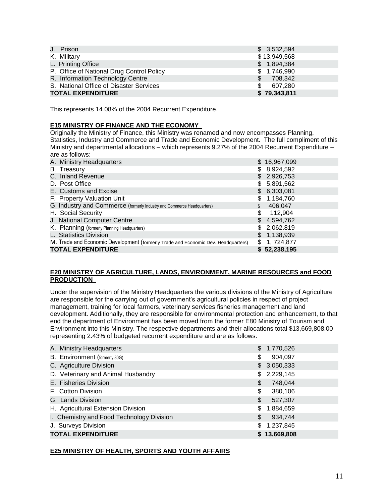| J. Prison                                 |     | \$3,532,594  |
|-------------------------------------------|-----|--------------|
| K. Military                               |     | \$13,949,568 |
| L. Printing Office                        |     | \$1,894,384  |
| P. Office of National Drug Control Policy |     | \$1,746,990  |
| R. Information Technology Centre          | \$  | 708,342      |
| S. National Office of Disaster Services   | \$. | 607.280      |
| <b>TOTAL EXPENDITURE</b>                  |     | \$79,343,811 |

This represents 14.08% of the 2004 Recurrent Expenditure.

#### **E15 MINISTRY OF FINANCE AND THE ECONOMY**

Originally the Ministry of Finance, this Ministry was renamed and now encompasses Planning, Statistics, Industry and Commerce and Trade and Economic Development. The full compliment of this Ministry and departmental allocations – which represents 9.27% of the 2004 Recurrent Expenditure – are as follows:

| A. Ministry Headquarters                                                          |     | \$16,967,099 |
|-----------------------------------------------------------------------------------|-----|--------------|
| B. Treasury                                                                       |     | \$8,924,592  |
| C. Inland Revenue                                                                 |     | \$2,926,753  |
| D. Post Office                                                                    | \$  | 5,891,562    |
| E. Customs and Excise                                                             |     | \$6,303,081  |
| F. Property Valuation Unit                                                        | \$  | 1,184,760    |
| G. Industry and Commerce (formerly Industry and Commerce Headquarters)            |     | 406,047      |
| H. Social Security                                                                | \$  | 112,904      |
| J. National Computer Centre                                                       | \$  | 4,594,762    |
| K. Planning (formerly Planning Headquarters)                                      | \$. | 2,062.819    |
| L. Statistics Division                                                            | \$. | 1,138,939    |
| M. Trade and Economic Development (formerly Trade and Economic Dev. Headquarters) | \$  | 1, 724,877   |
| <b>TOTAL EXPENDITURE</b>                                                          |     | \$52,238,195 |

#### **E20 MINISTRY OF AGRICULTURE, LANDS, ENVIRONMENT, MARINE RESOURCES and FOOD PRODUCTION**

Under the supervision of the Ministry Headquarters the various divisions of the Ministry of Agriculture are responsible for the carrying out of government's agricultural policies in respect of project management, training for local farmers, veterinary services fisheries management and land development. Additionally, they are responsible for environmental protection and enhancement, to that end the department of Environment has been moved from the former E80 Ministry of Tourism and Environment into this Ministry. The respective departments and their allocations total \$13,669,808.00 representing 2.43% of budgeted recurrent expenditure and are as follows:

| A. Ministry Headquarters                  | \$1,770,526     |
|-------------------------------------------|-----------------|
| B. Environment (formerly 80G)             | \$<br>904,097   |
| C. Agriculture Division                   | \$3,050,333     |
| D. Veterinary and Animal Husbandry        | \$<br>2,229,145 |
| E. Fisheries Division                     | \$<br>748,044   |
| F. Cotton Division                        | \$<br>380,106   |
| G. Lands Division                         | \$<br>527,307   |
| H. Agricultural Extension Division        | \$<br>1,884,659 |
| I. Chemistry and Food Technology Division | \$<br>934,744   |
| J. Surveys Division                       | \$<br>1,237,845 |
| <b>TOTAL EXPENDITURE</b>                  | \$13,669,808    |

#### **E25 MINISTRY OF HEALTH, SPORTS AND YOUTH AFFAIRS**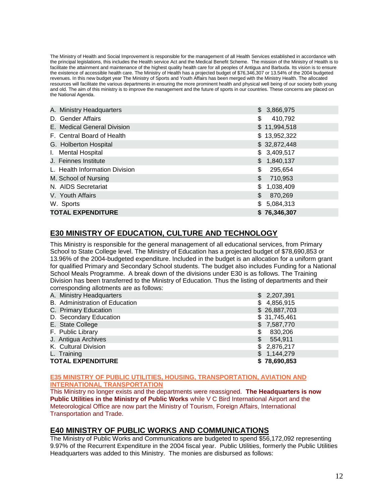The Ministry of Health and Social Improvement is responsible for the management of all Health Services established in accordance with the principal legislations, this includes the Health service Act and the Medical Benefit Scheme. The mission of the Ministry of Health is to facilitate the attainment and maintenance of the highest quality health care for all peoples of Antigua and Barbuda. Its vision is to ensure the existence of accessible health care. The Ministry of Health has a projected budget of \$76,346,307 or 13.54% of the 2004 budgeted revenues. In this new budget year The Ministry of Sports and Youth Affairs has been merged with the Ministry Health. The allocated resources will facilitate the various departments in ensuring the more prominent health and physical well being of our society both young and old. The aim of this ministry is to improve the management and the future of sports in our countries. These concerns are placed on the National Agenda.

| A. Ministry Headquarters       | \$3,866,975     |
|--------------------------------|-----------------|
| D. Gender Affairs              | \$<br>410,792   |
| E. Medical General Division    | \$11,994,518    |
| F. Central Board of Health     | \$13,952,322    |
| G. Holberton Hospital          | \$32,872,448    |
| I. Mental Hospital             | \$3,409,517     |
| J. Feinnes Institute           | \$1,840,137     |
| L. Health Information Division | \$<br>295,654   |
| M. School of Nursing           | \$<br>710,953   |
| N. AIDS Secretariat            | \$<br>1,038,409 |
| V. Youth Affairs               | \$<br>870,269   |
| W. Sports                      | \$<br>5,084,313 |
| <b>TOTAL EXPENDITURE</b>       | \$76,346,307    |

### **E30 MINISTRY OF EDUCATION, CULTURE AND TECHNOLOGY**

This Ministry is responsible for the general management of all educational services, from Primary School to State College level. The Ministry of Education has a projected budget of \$78,690,853 or 13.96% of the 2004-budgeted expenditure. Included in the budget is an allocation for a uniform grant for qualified Primary and Secondary School students. The budget also includes Funding for a National School Meals Programme. A break down of the divisions under E30 is as follows. The Training Division has been transferred to the Ministry of Education. Thus the listing of departments and their corresponding allotments are as follows:

| A. Ministry Headquarters       | \$2,207,391   |
|--------------------------------|---------------|
| B. Administration of Education | \$4,856,915   |
| C. Primary Education           | \$26,887,703  |
| D. Secondary Education         | \$31,745,461  |
| E. State College               | \$7,587,770   |
| F. Public Library              | \$<br>830,206 |
| J. Antigua Archives            | \$<br>554,911 |
| K. Cultural Division           | \$2,876,217   |
| L. Training                    | \$1,144,279   |
| <b>TOTAL EXPENDITURE</b>       | \$78,690,853  |

#### **E35 MINISTRY OF PUBLIC UTILITIES, HOUSING, TRANSPORTATION, AVIATION AND INTERNATIONAL TRANSPORTATION**

This Ministry no longer exists and the departments were reassigned. **The Headquarters is now Public Utilities in the Ministry of Public Works** while V C Bird International Airport and the Meteorological Office are now part the Ministry of Tourism, Foreign Affairs, International Transportation and Trade.

### **E40 MINISTRY OF PUBLIC WORKS AND COMMUNICATIONS**

The Ministry of Public Works and Communications are budgeted to spend \$56,172,092 representing 9.97% of the Recurrent Expenditure in the 2004 fiscal year. Public Utilities, formerly the Public Utilities Headquarters was added to this Ministry. The monies are disbursed as follows: